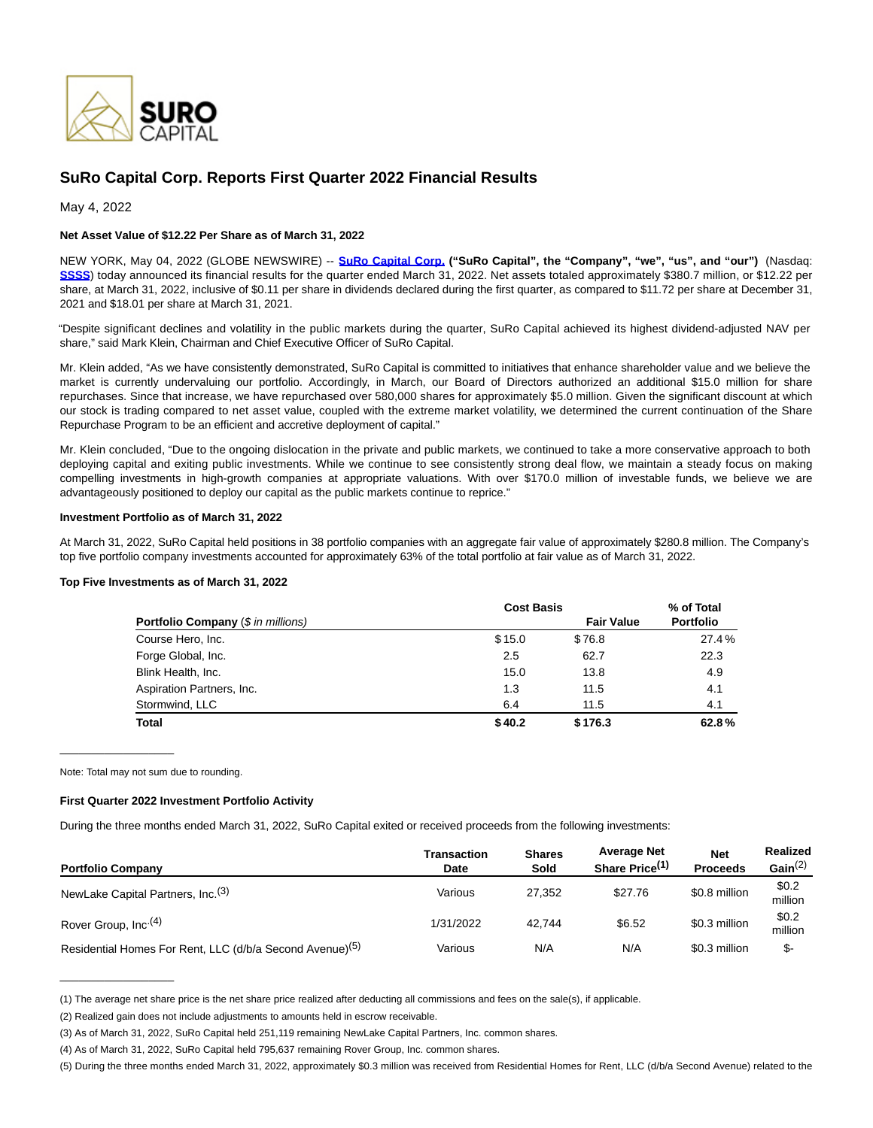

# **SuRo Capital Corp. Reports First Quarter 2022 Financial Results**

May 4, 2022

# **Net Asset Value of \$12.22 Per Share as of March 31, 2022**

NEW YORK, May 04, 2022 (GLOBE NEWSWIRE) -- **[SuRo Capital Corp. \(](https://www.globenewswire.com/Tracker?data=vzLyGfeLTrm4XuxYCgHvnJANEav4yCHcpFZZXEEsi_sLkQIiN9xsGpSrxaySzF6N1yEaunRPmM9fCCXzq5gVkA==)"SuRo Capital", the "Company", "we", "us", and "our")** (Nasdaq: **[SSSS](https://www.globenewswire.com/Tracker?data=Zrbz36qt9Yf73QWupa86J057cprqgAkhdUeK1XaSdInStR2FcoA98Rr-82Dm94AB7MhSjHCb3iHxmHm34UhezavXj4tizXsUWva6JY7R-fc=)**) today announced its financial results for the quarter ended March 31, 2022. Net assets totaled approximately \$380.7 million, or \$12.22 per share, at March 31, 2022, inclusive of \$0.11 per share in dividends declared during the first quarter, as compared to \$11.72 per share at December 31, 2021 and \$18.01 per share at March 31, 2021.

"Despite significant declines and volatility in the public markets during the quarter, SuRo Capital achieved its highest dividend-adjusted NAV per share," said Mark Klein, Chairman and Chief Executive Officer of SuRo Capital.

Mr. Klein added, "As we have consistently demonstrated, SuRo Capital is committed to initiatives that enhance shareholder value and we believe the market is currently undervaluing our portfolio. Accordingly, in March, our Board of Directors authorized an additional \$15.0 million for share repurchases. Since that increase, we have repurchased over 580,000 shares for approximately \$5.0 million. Given the significant discount at which our stock is trading compared to net asset value, coupled with the extreme market volatility, we determined the current continuation of the Share Repurchase Program to be an efficient and accretive deployment of capital."

Mr. Klein concluded, "Due to the ongoing dislocation in the private and public markets, we continued to take a more conservative approach to both deploying capital and exiting public investments. While we continue to see consistently strong deal flow, we maintain a steady focus on making compelling investments in high-growth companies at appropriate valuations. With over \$170.0 million of investable funds, we believe we are advantageously positioned to deploy our capital as the public markets continue to reprice."

## **Investment Portfolio as of March 31, 2022**

At March 31, 2022, SuRo Capital held positions in 38 portfolio companies with an aggregate fair value of approximately \$280.8 million. The Company's top five portfolio company investments accounted for approximately 63% of the total portfolio at fair value as of March 31, 2022.

## **Top Five Investments as of March 31, 2022**

|                                           |        | <b>Cost Basis</b> |                  |  |
|-------------------------------------------|--------|-------------------|------------------|--|
| <b>Portfolio Company (\$ in millions)</b> |        | <b>Fair Value</b> | <b>Portfolio</b> |  |
| Course Hero, Inc.                         | \$15.0 | \$76.8            | 27.4%            |  |
| Forge Global, Inc.                        | 2.5    | 62.7              | 22.3             |  |
| Blink Health, Inc.                        | 15.0   | 13.8              | 4.9              |  |
| Aspiration Partners, Inc.                 | 1.3    | 11.5              | 4.1              |  |
| Stormwind, LLC                            | 6.4    | 11.5              | 4.1              |  |
| <b>Total</b>                              | \$40.2 | \$176.3           | 62.8%            |  |

Note: Total may not sum due to rounding.

 $\_$ 

 $\_$ 

#### **First Quarter 2022 Investment Portfolio Activity**

During the three months ended March 31, 2022, SuRo Capital exited or received proceeds from the following investments:

| <b>Portfolio Company</b>                                             | <b>Shares</b><br><b>Transaction</b><br>Sold<br>Date |        | <b>Average Net</b><br>Share Price <sup>(1)</sup> | <b>Net</b><br><b>Proceeds</b> | Realized<br>Gain $(2)$ |
|----------------------------------------------------------------------|-----------------------------------------------------|--------|--------------------------------------------------|-------------------------------|------------------------|
| NewLake Capital Partners, Inc. <sup>(3)</sup>                        | Various                                             | 27.352 | \$27.76                                          | \$0.8 million                 | \$0.2<br>million       |
| Rover Group, Inc. <sup>(4)</sup>                                     | 1/31/2022                                           | 42.744 | \$6.52                                           | \$0.3 million                 | \$0.2<br>million       |
| Residential Homes For Rent, LLC (d/b/a Second Avenue) <sup>(5)</sup> | Various                                             | N/A    | N/A                                              | \$0.3 million                 | \$-                    |

<sup>(1)</sup> The average net share price is the net share price realized after deducting all commissions and fees on the sale(s), if applicable.

<sup>(2)</sup> Realized gain does not include adjustments to amounts held in escrow receivable.

<sup>(3)</sup> As of March 31, 2022, SuRo Capital held 251,119 remaining NewLake Capital Partners, Inc. common shares.

<sup>(4)</sup> As of March 31, 2022, SuRo Capital held 795,637 remaining Rover Group, Inc. common shares.

<sup>(5)</sup> During the three months ended March 31, 2022, approximately \$0.3 million was received from Residential Homes for Rent, LLC (d/b/a Second Avenue) related to the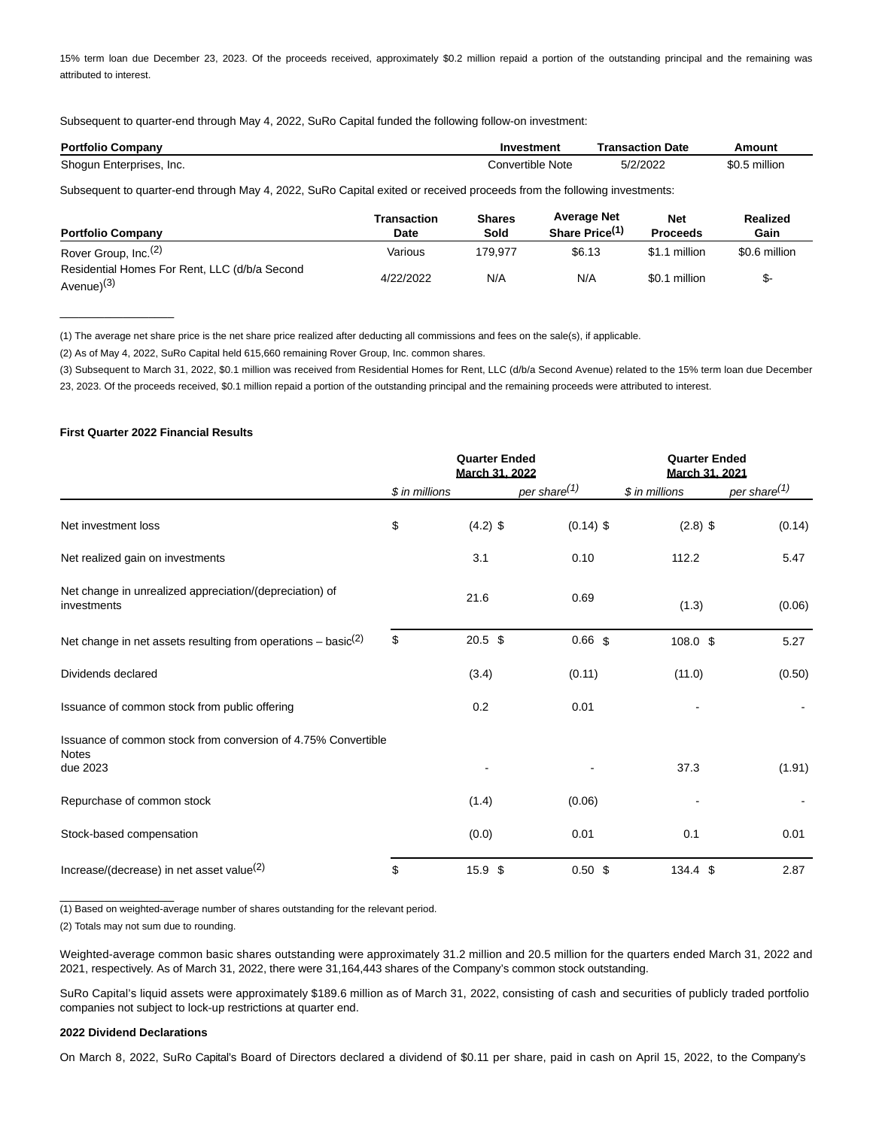15% term loan due December 23, 2023. Of the proceeds received, approximately \$0.2 million repaid a portion of the outstanding principal and the remaining was attributed to interest.

Subsequent to quarter-end through May 4, 2022, SuRo Capital funded the following follow-on investment:

| <b>Portfolio Company</b> | Investment       | Transaction Date | Amount        |
|--------------------------|------------------|------------------|---------------|
| Shogun Enterprises, Inc. | Convertible Note | 5/2/2022         | \$0.5 million |

Subsequent to quarter-end through May 4, 2022, SuRo Capital exited or received proceeds from the following investments:

| <b>Portfolio Company</b>                                       | Transaction<br>Date | <b>Shares</b><br>Sold | <b>Average Net</b><br>Share Price <sup>(1)</sup> | <b>Net</b><br><b>Proceeds</b> | Realized<br>Gain |
|----------------------------------------------------------------|---------------------|-----------------------|--------------------------------------------------|-------------------------------|------------------|
| Rover Group, Inc. <sup>(2)</sup>                               | Various             | 179.977               | \$6.13                                           | \$1.1 million                 | \$0.6 million    |
| Residential Homes For Rent, LLC (d/b/a Second<br>Avenue) $(3)$ | 4/22/2022           | N/A                   | N/A                                              | \$0.1 million                 | \$-              |

(1) The average net share price is the net share price realized after deducting all commissions and fees on the sale(s), if applicable.

(2) As of May 4, 2022, SuRo Capital held 615,660 remaining Rover Group, Inc. common shares.

(3) Subsequent to March 31, 2022, \$0.1 million was received from Residential Homes for Rent, LLC (d/b/a Second Avenue) related to the 15% term loan due December

23, 2023. Of the proceeds received, \$0.1 million repaid a portion of the outstanding principal and the remaining proceeds were attributed to interest.

# **First Quarter 2022 Financial Results**

 $\overline{\phantom{a}}$  , which is a set of the set of the set of the set of the set of the set of the set of the set of the set of the set of the set of the set of the set of the set of the set of the set of the set of the set of th

|                                                                               | <b>Quarter Ended</b><br>March 31, 2022 |            | <b>Quarter Ended</b><br>March 31, 2021 |                    |                          |
|-------------------------------------------------------------------------------|----------------------------------------|------------|----------------------------------------|--------------------|--------------------------|
|                                                                               | \$ in millions                         |            | per share <sup>(1)</sup>               | \$ in millions     | per share <sup>(1)</sup> |
| Net investment loss                                                           | \$                                     | $(4.2)$ \$ | $(0.14)$ \$                            | $(2.8)$ \$         | (0.14)                   |
| Net realized gain on investments                                              |                                        | 3.1        | 0.10                                   | 112.2              | 5.47                     |
| Net change in unrealized appreciation/(depreciation) of<br>investments        |                                        | 21.6       | 0.69                                   | (1.3)              | (0.06)                   |
| Net change in net assets resulting from operations – basic $(2)$              | \$                                     | $20.5$ \$  | 0.66 <sub>5</sub>                      | 108.0 \$           | 5.27                     |
| Dividends declared                                                            |                                        | (3.4)      | (0.11)                                 | (11.0)             | (0.50)                   |
| Issuance of common stock from public offering                                 |                                        | 0.2        | 0.01                                   |                    |                          |
| Issuance of common stock from conversion of 4.75% Convertible<br><b>Notes</b> |                                        |            |                                        |                    |                          |
| due 2023                                                                      |                                        |            |                                        | 37.3               | (1.91)                   |
| Repurchase of common stock                                                    |                                        | (1.4)      | (0.06)                                 |                    |                          |
| Stock-based compensation                                                      |                                        | (0.0)      | 0.01                                   | 0.1                | 0.01                     |
| Increase/(decrease) in net asset value $(2)$                                  | \$                                     | 15.9 \$    | 0.50~\$                                | $134.4 \text{ } $$ | 2.87                     |

(1) Based on weighted-average number of shares outstanding for the relevant period.

(2) Totals may not sum due to rounding.

 $\frac{1}{2}$  ,  $\frac{1}{2}$  ,  $\frac{1}{2}$  ,  $\frac{1}{2}$  ,  $\frac{1}{2}$  ,  $\frac{1}{2}$  ,  $\frac{1}{2}$  ,  $\frac{1}{2}$  ,  $\frac{1}{2}$  ,  $\frac{1}{2}$  ,  $\frac{1}{2}$  ,  $\frac{1}{2}$  ,  $\frac{1}{2}$  ,  $\frac{1}{2}$  ,  $\frac{1}{2}$  ,  $\frac{1}{2}$  ,  $\frac{1}{2}$  ,  $\frac{1}{2}$  ,  $\frac{1$ 

Weighted-average common basic shares outstanding were approximately 31.2 million and 20.5 million for the quarters ended March 31, 2022 and 2021, respectively. As of March 31, 2022, there were 31,164,443 shares of the Company's common stock outstanding.

SuRo Capital's liquid assets were approximately \$189.6 million as of March 31, 2022, consisting of cash and securities of publicly traded portfolio companies not subject to lock-up restrictions at quarter end.

#### **2022 Dividend Declarations**

On March 8, 2022, SuRo Capital's Board of Directors declared a dividend of \$0.11 per share, paid in cash on April 15, 2022, to the Company's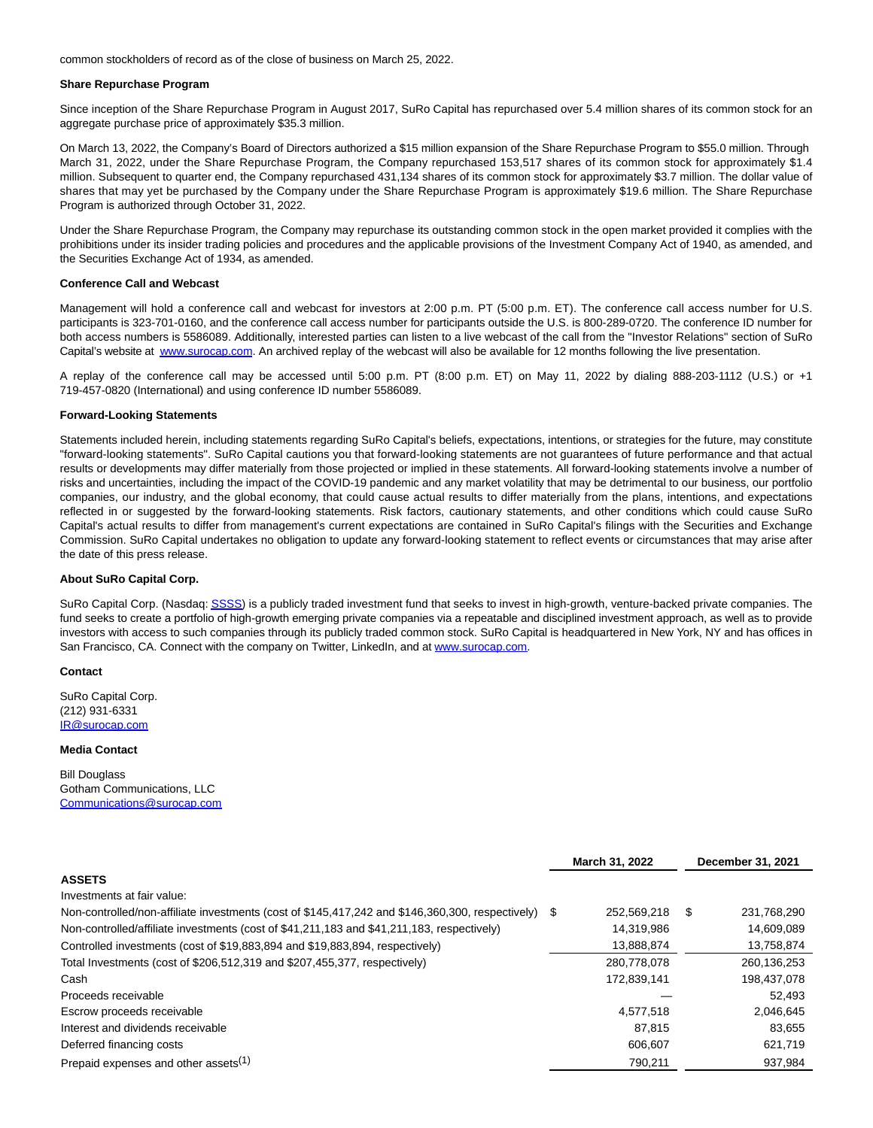common stockholders of record as of the close of business on March 25, 2022.

#### **Share Repurchase Program**

Since inception of the Share Repurchase Program in August 2017, SuRo Capital has repurchased over 5.4 million shares of its common stock for an aggregate purchase price of approximately \$35.3 million.

On March 13, 2022, the Company's Board of Directors authorized a \$15 million expansion of the Share Repurchase Program to \$55.0 million. Through March 31, 2022, under the Share Repurchase Program, the Company repurchased 153,517 shares of its common stock for approximately \$1.4 million. Subsequent to quarter end, the Company repurchased 431,134 shares of its common stock for approximately \$3.7 million. The dollar value of shares that may yet be purchased by the Company under the Share Repurchase Program is approximately \$19.6 million. The Share Repurchase Program is authorized through October 31, 2022.

Under the Share Repurchase Program, the Company may repurchase its outstanding common stock in the open market provided it complies with the prohibitions under its insider trading policies and procedures and the applicable provisions of the Investment Company Act of 1940, as amended, and the Securities Exchange Act of 1934, as amended.

## **Conference Call and Webcast**

Management will hold a conference call and webcast for investors at 2:00 p.m. PT (5:00 p.m. ET). The conference call access number for U.S. participants is 323-701-0160, and the conference call access number for participants outside the U.S. is 800-289-0720. The conference ID number for both access numbers is 5586089. Additionally, interested parties can listen to a live webcast of the call from the "Investor Relations" section of SuRo Capital's website at [www.surocap.com.](https://www.globenewswire.com/Tracker?data=EQzaUe_Z6TxuMSFAwL27k-hEFX0rXZv-JmbJSIpM28cZPPRDG_mYX5UfGBBlm6QYSh2NQcX_z8Kf6g2oj7O0bKJdLtfrSELY8eirapYxcpM=) An archived replay of the webcast will also be available for 12 months following the live presentation.

A replay of the conference call may be accessed until 5:00 p.m. PT (8:00 p.m. ET) on May 11, 2022 by dialing 888-203-1112 (U.S.) or +1 719-457-0820 (International) and using conference ID number 5586089.

#### **Forward-Looking Statements**

Statements included herein, including statements regarding SuRo Capital's beliefs, expectations, intentions, or strategies for the future, may constitute "forward-looking statements". SuRo Capital cautions you that forward-looking statements are not guarantees of future performance and that actual results or developments may differ materially from those projected or implied in these statements. All forward-looking statements involve a number of risks and uncertainties, including the impact of the COVID-19 pandemic and any market volatility that may be detrimental to our business, our portfolio companies, our industry, and the global economy, that could cause actual results to differ materially from the plans, intentions, and expectations reflected in or suggested by the forward-looking statements. Risk factors, cautionary statements, and other conditions which could cause SuRo Capital's actual results to differ from management's current expectations are contained in SuRo Capital's filings with the Securities and Exchange Commission. SuRo Capital undertakes no obligation to update any forward-looking statement to reflect events or circumstances that may arise after the date of this press release.

#### **About SuRo Capital Corp.**

SuRo Capital Corp. (Nasdaq[: SSSS\)](https://www.globenewswire.com/Tracker?data=T0WsCForskirV7NC4fF4ujzF9GYtKOGFNWdxxQFaxKoT0xxBwioMgHDumeafWRoCIfPVQ-Q4E96VrUabjWqs9DNCu-xByOIvMVBluoqOgho=) is a publicly traded investment fund that seeks to invest in high-growth, venture-backed private companies. The fund seeks to create a portfolio of high-growth emerging private companies via a repeatable and disciplined investment approach, as well as to provide investors with access to such companies through its publicly traded common stock. SuRo Capital is headquartered in New York, NY and has offices in San Francisco, CA. Connect with the company on Twitter, LinkedIn, and at [www.surocap.com.](https://www.globenewswire.com/Tracker?data=EQzaUe_Z6TxuMSFAwL27kyiJGSgBb3Rco3aKUnX2PPQ21aRCmFCbv8OR4CiPAmzUPJXIkSeIGuYsb-oqXgJ45A==)

### **Contact**

SuRo Capital Corp. (212) 931-6331 [IR@surocap.com](https://www.globenewswire.com/Tracker?data=WzIzRSi97is6e_Ia8KF3CfXNlvFhY3skcVeqiDtux26xVZqk6P5oNrShR3FB9Aab70ycLRUqRVqB97kzaSZ4NQ==)

#### **Media Contact**

Bill Douglass Gotham Communications, LLC [Communications@surocap.com](https://www.globenewswire.com/Tracker?data=-5A1H-k5NQISuUFLgj8HGwRE5vj13WyQiQvazCF1A_NyLFRDbyMhbCjETIrL0Km6Qh7G6KAfeohKXd_U_HEpNmu08aq3PFGFTNiKBg8GSzJI6lLDPiGawE6OGLjXNi60)

|                                                                                                  |    |             |   | December 31, 2021 |  |
|--------------------------------------------------------------------------------------------------|----|-------------|---|-------------------|--|
| <b>ASSETS</b>                                                                                    |    |             |   |                   |  |
| Investments at fair value:                                                                       |    |             |   |                   |  |
| Non-controlled/non-affiliate investments (cost of \$145,417,242 and \$146,360,300, respectively) | \$ | 252.569.218 | S | 231,768,290       |  |
| Non-controlled/affiliate investments (cost of \$41,211,183 and \$41,211,183, respectively)       |    | 14,319,986  |   | 14,609,089        |  |
| Controlled investments (cost of \$19,883,894 and \$19,883,894, respectively)                     |    | 13,888,874  |   | 13,758,874        |  |
| Total Investments (cost of \$206,512,319 and \$207,455,377, respectively)                        |    | 280.778.078 |   | 260,136,253       |  |
| Cash                                                                                             |    | 172,839,141 |   | 198,437,078       |  |
| Proceeds receivable                                                                              |    |             |   | 52,493            |  |
| Escrow proceeds receivable                                                                       |    | 4.577.518   |   | 2.046.645         |  |
| Interest and dividends receivable                                                                |    | 87.815      |   | 83.655            |  |
| Deferred financing costs                                                                         |    | 606,607     |   | 621,719           |  |
| Prepaid expenses and other assets <sup>(1)</sup>                                                 |    | 790.211     |   | 937.984           |  |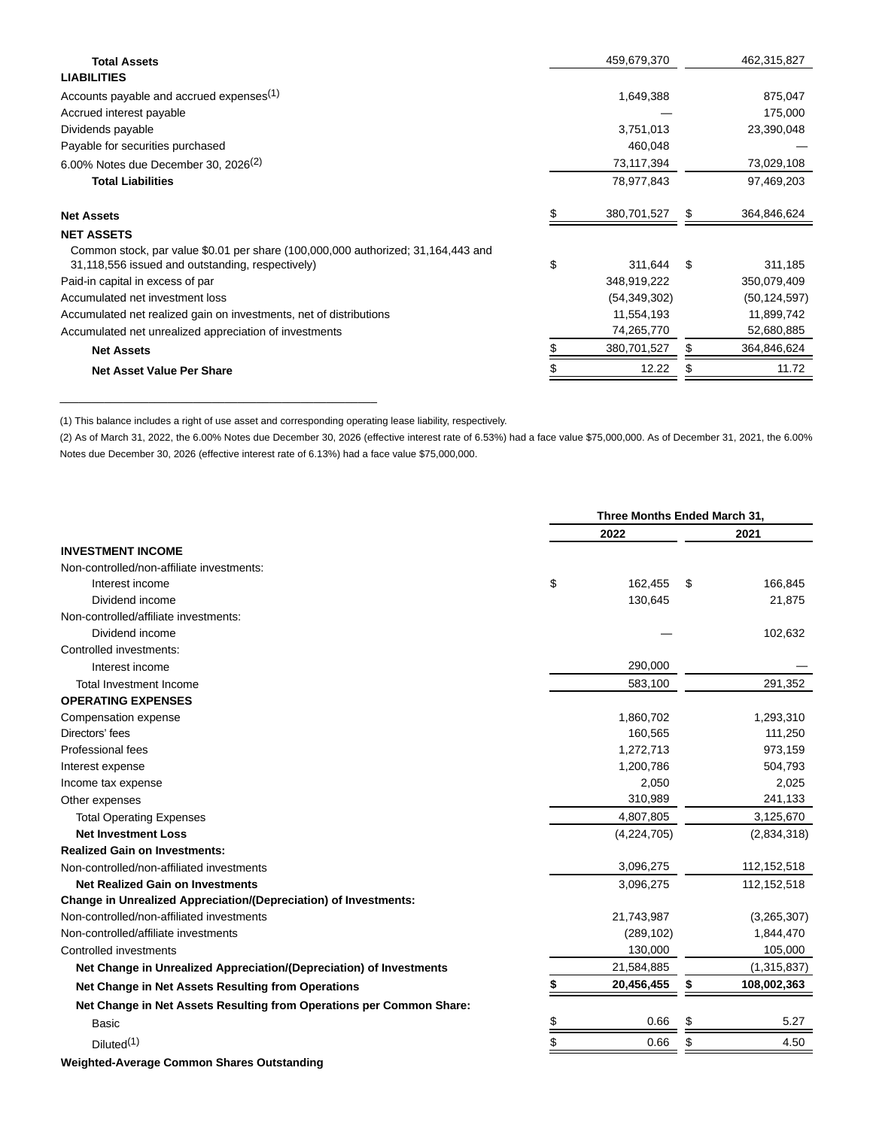| <b>Total Assets</b>                                                                                                                  | 459,679,370    |     | 462,315,827    |
|--------------------------------------------------------------------------------------------------------------------------------------|----------------|-----|----------------|
| <b>LIABILITIES</b>                                                                                                                   |                |     |                |
| Accounts payable and accrued expenses <sup>(1)</sup>                                                                                 | 1,649,388      |     | 875,047        |
| Accrued interest payable                                                                                                             |                |     | 175,000        |
| Dividends payable                                                                                                                    | 3,751,013      |     | 23,390,048     |
| Payable for securities purchased                                                                                                     | 460,048        |     |                |
| 6.00% Notes due December 30, 2026 <sup>(2)</sup>                                                                                     | 73,117,394     |     | 73,029,108     |
| <b>Total Liabilities</b>                                                                                                             | 78,977,843     |     | 97,469,203     |
| <b>Net Assets</b>                                                                                                                    | 380,701,527    | \$  | 364,846,624    |
| <b>NET ASSETS</b>                                                                                                                    |                |     |                |
| Common stock, par value \$0.01 per share (100,000,000 authorized; 31,164,443 and<br>31,118,556 issued and outstanding, respectively) | \$<br>311,644  | -\$ | 311,185        |
| Paid-in capital in excess of par                                                                                                     | 348,919,222    |     | 350,079,409    |
| Accumulated net investment loss                                                                                                      | (54, 349, 302) |     | (50, 124, 597) |
| Accumulated net realized gain on investments, net of distributions                                                                   | 11,554,193     |     | 11,899,742     |
| Accumulated net unrealized appreciation of investments                                                                               | 74,265,770     |     | 52,680,885     |
| <b>Net Assets</b>                                                                                                                    | 380,701,527    | \$  | 364,846,624    |
| <b>Net Asset Value Per Share</b>                                                                                                     | 12.22          |     | 11.72          |

(1) This balance includes a right of use asset and corresponding operating lease liability, respectively.

\_\_\_\_\_\_\_\_\_\_\_\_\_\_\_\_\_\_\_\_\_\_\_\_\_\_\_\_\_\_\_\_\_\_\_\_\_\_\_\_\_\_\_\_\_\_\_\_\_\_

(2) As of March 31, 2022, the 6.00% Notes due December 30, 2026 (effective interest rate of 6.53%) had a face value \$75,000,000. As of December 31, 2021, the 6.00% Notes due December 30, 2026 (effective interest rate of 6.13%) had a face value \$75,000,000.

|                                                                         | Three Months Ended March 31, |    |               |  |
|-------------------------------------------------------------------------|------------------------------|----|---------------|--|
|                                                                         | 2022                         |    | 2021          |  |
| <b>INVESTMENT INCOME</b>                                                |                              |    |               |  |
| Non-controlled/non-affiliate investments:                               |                              |    |               |  |
| Interest income                                                         | \$<br>162,455                | S  | 166,845       |  |
| Dividend income                                                         | 130,645                      |    | 21,875        |  |
| Non-controlled/affiliate investments:                                   |                              |    |               |  |
| Dividend income                                                         |                              |    | 102,632       |  |
| Controlled investments:                                                 |                              |    |               |  |
| Interest income                                                         | 290,000                      |    |               |  |
| <b>Total Investment Income</b>                                          | 583,100                      |    | 291,352       |  |
| <b>OPERATING EXPENSES</b>                                               |                              |    |               |  |
| Compensation expense                                                    | 1,860,702                    |    | 1,293,310     |  |
| Directors' fees                                                         | 160,565                      |    | 111,250       |  |
| Professional fees                                                       | 1,272,713                    |    | 973,159       |  |
| Interest expense                                                        | 1,200,786                    |    | 504,793       |  |
| Income tax expense                                                      | 2,050                        |    | 2,025         |  |
| Other expenses                                                          | 310,989                      |    | 241,133       |  |
| <b>Total Operating Expenses</b>                                         | 4,807,805                    |    | 3,125,670     |  |
| <b>Net Investment Loss</b>                                              | (4,224,705)                  |    | (2,834,318)   |  |
| <b>Realized Gain on Investments:</b>                                    |                              |    |               |  |
| Non-controlled/non-affiliated investments                               | 3,096,275                    |    | 112, 152, 518 |  |
| <b>Net Realized Gain on Investments</b>                                 | 3,096,275                    |    | 112, 152, 518 |  |
| <b>Change in Unrealized Appreciation/(Depreciation) of Investments:</b> |                              |    |               |  |
| Non-controlled/non-affiliated investments                               | 21,743,987                   |    | (3,265,307)   |  |
| Non-controlled/affiliate investments                                    | (289, 102)                   |    | 1,844,470     |  |
| Controlled investments                                                  | 130,000                      |    | 105,000       |  |
| Net Change in Unrealized Appreciation/(Depreciation) of Investments     | 21,584,885                   |    | (1,315,837)   |  |
| Net Change in Net Assets Resulting from Operations                      | 20,456,455                   | \$ | 108,002,363   |  |
| Net Change in Net Assets Resulting from Operations per Common Share:    |                              |    |               |  |
| <b>Basic</b>                                                            | \$<br>0.66                   | \$ | 5.27          |  |
| Diluted <sup>(1)</sup>                                                  | \$<br>0.66                   | \$ | 4.50          |  |

**Weighted-Average Common Shares Outstanding**